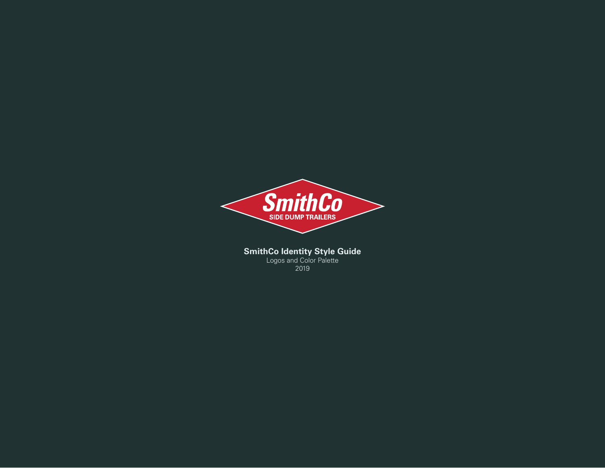

**SmithCo Identity Style Guide** Logos and Color Palette 2019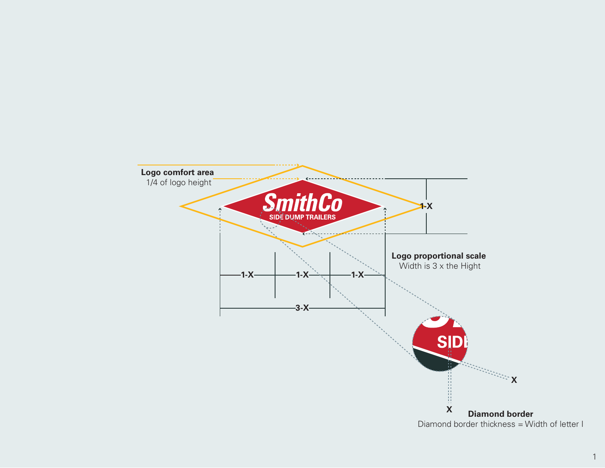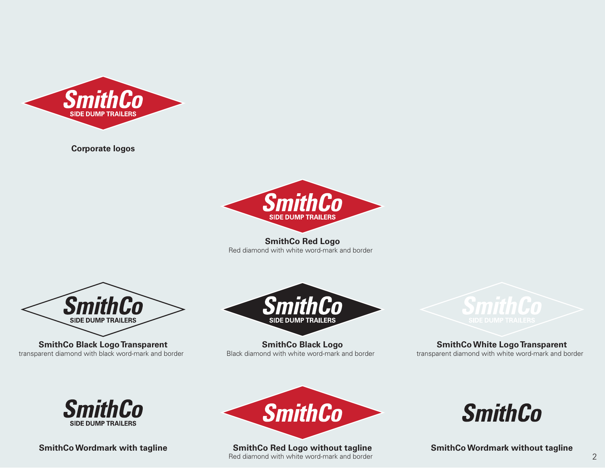

**Corporate logos**



#### **SmithCo Red Logo**

Red diamond with white word-mark and border



**SmithCo Black Logo Transparent** transparent diamond with black word-mark and border



**SmithCo Black Logo** Black diamond with white word-mark and border



# **SmithCo White Logo Transparent**

transparent diamond with white word-mark and border





**SmithCo Red Logo without tagline** Red diamond with white word-mark and border



**SmithCo Wordmark with tagline SmithCo Wordmark without tagline**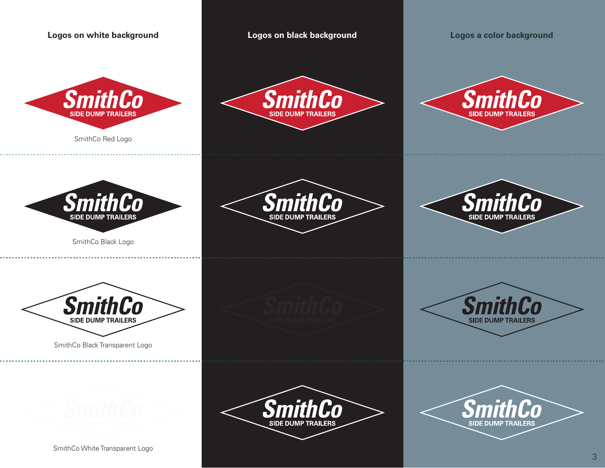



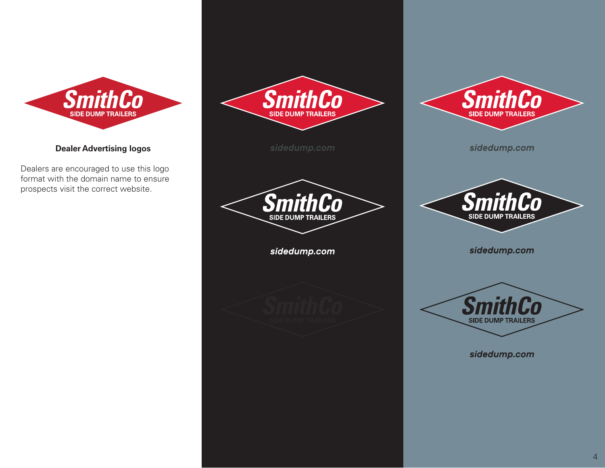

### **Dealer Advertising logos**

Dealers are encouraged to use this logo format with the domain name to ensure prospects visit the correct website.





sidedump.com



sidedump.com



sidedump.com